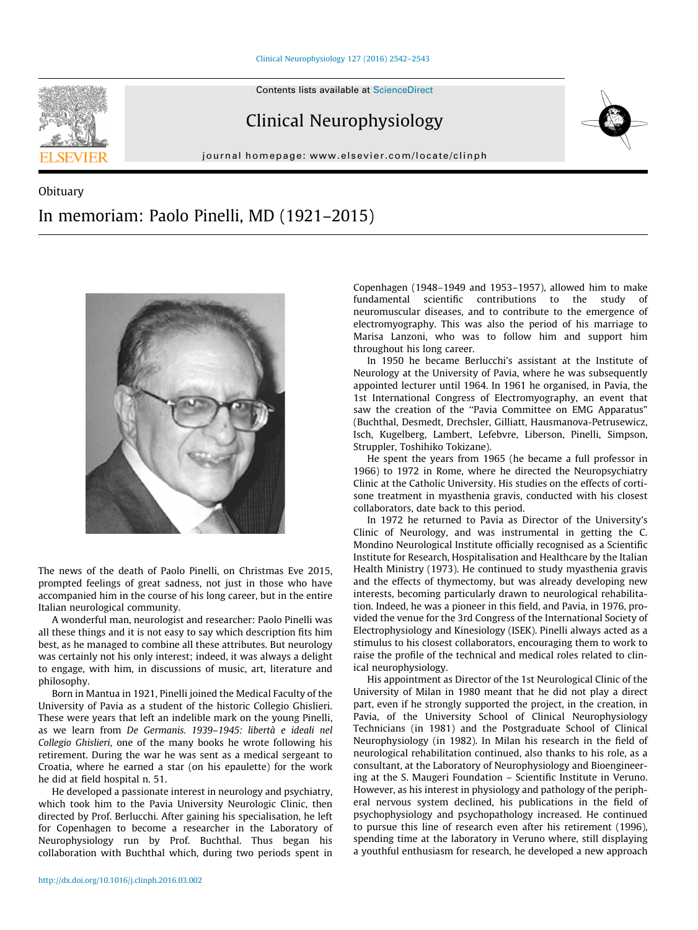

## Clinical Neurophysiology

journal homepage: [www.elsevier.com/locate/clinph](http://www.elsevier.com/locate/clinph)



## Obituary In memoriam: Paolo Pinelli, MD (1921–2015)



The news of the death of Paolo Pinelli, on Christmas Eve 2015, prompted feelings of great sadness, not just in those who have accompanied him in the course of his long career, but in the entire Italian neurological community.

A wonderful man, neurologist and researcher: Paolo Pinelli was all these things and it is not easy to say which description fits him best, as he managed to combine all these attributes. But neurology was certainly not his only interest; indeed, it was always a delight to engage, with him, in discussions of music, art, literature and philosophy.

Born in Mantua in 1921, Pinelli joined the Medical Faculty of the University of Pavia as a student of the historic Collegio Ghislieri. These were years that left an indelible mark on the young Pinelli, as we learn from De Germanis. 1939–1945: libertà e ideali nel Collegio Ghislieri, one of the many books he wrote following his retirement. During the war he was sent as a medical sergeant to Croatia, where he earned a star (on his epaulette) for the work he did at field hospital n. 51.

He developed a passionate interest in neurology and psychiatry, which took him to the Pavia University Neurologic Clinic, then directed by Prof. Berlucchi. After gaining his specialisation, he left for Copenhagen to become a researcher in the Laboratory of Neurophysiology run by Prof. Buchthal. Thus began his collaboration with Buchthal which, during two periods spent in Copenhagen (1948–1949 and 1953–1957), allowed him to make fundamental scientific contributions to the study of neuromuscular diseases, and to contribute to the emergence of electromyography. This was also the period of his marriage to Marisa Lanzoni, who was to follow him and support him throughout his long career.

In 1950 he became Berlucchi's assistant at the Institute of Neurology at the University of Pavia, where he was subsequently appointed lecturer until 1964. In 1961 he organised, in Pavia, the 1st International Congress of Electromyography, an event that saw the creation of the ''Pavia Committee on EMG Apparatus" (Buchthal, Desmedt, Drechsler, Gilliatt, Hausmanova-Petrusewicz, Isch, Kugelberg, Lambert, Lefebvre, Liberson, Pinelli, Simpson, Struppler, Toshihiko Tokizane).

He spent the years from 1965 (he became a full professor in 1966) to 1972 in Rome, where he directed the Neuropsychiatry Clinic at the Catholic University. His studies on the effects of cortisone treatment in myasthenia gravis, conducted with his closest collaborators, date back to this period.

In 1972 he returned to Pavia as Director of the University's Clinic of Neurology, and was instrumental in getting the C. Mondino Neurological Institute officially recognised as a Scientific Institute for Research, Hospitalisation and Healthcare by the Italian Health Ministry (1973). He continued to study myasthenia gravis and the effects of thymectomy, but was already developing new interests, becoming particularly drawn to neurological rehabilitation. Indeed, he was a pioneer in this field, and Pavia, in 1976, provided the venue for the 3rd Congress of the International Society of Electrophysiology and Kinesiology (ISEK). Pinelli always acted as a stimulus to his closest collaborators, encouraging them to work to raise the profile of the technical and medical roles related to clinical neurophysiology.

His appointment as Director of the 1st Neurological Clinic of the University of Milan in 1980 meant that he did not play a direct part, even if he strongly supported the project, in the creation, in Pavia, of the University School of Clinical Neurophysiology Technicians (in 1981) and the Postgraduate School of Clinical Neurophysiology (in 1982). In Milan his research in the field of neurological rehabilitation continued, also thanks to his role, as a consultant, at the Laboratory of Neurophysiology and Bioengineering at the S. Maugeri Foundation – Scientific Institute in Veruno. However, as his interest in physiology and pathology of the peripheral nervous system declined, his publications in the field of psychophysiology and psychopathology increased. He continued to pursue this line of research even after his retirement (1996), spending time at the laboratory in Veruno where, still displaying a youthful enthusiasm for research, he developed a new approach